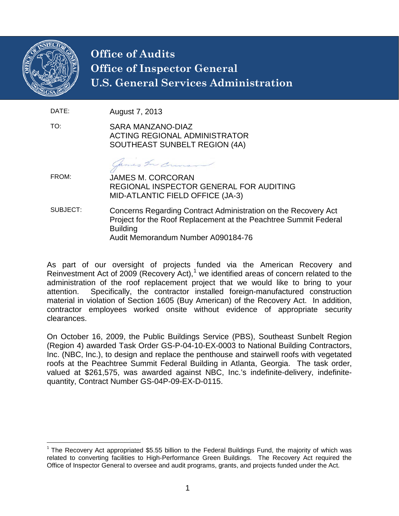

## **Office of Audits Office of Inspector General U.S. General Services Administration**

DATE: August 7, 2013

TO: SARA MANZANO-DIAZ ACTING REGIONAL ADMINISTRATOR SOUTHEAST SUNBELT REGION (4A)

Cames In Coun

FROM: JAMES M. CORCORAN REGIONAL INSPECTOR GENERAL FOR AUDITING MID-ATLANTIC FIELD OFFICE (JA-3)

SUBJECT: Concerns Regarding Contract Administration on the Recovery Act Project for the Roof Replacement at the Peachtree Summit Federal Building Audit Memorandum Number A090184-76

As part of our oversight of projects funded via the American Recovery and Reinvestment Act of 2009 (Recovery Act), $1$  we identified areas of concern related to the administration of the roof replacement project that we would like to bring to your attention. Specifically, the contractor installed foreign-manufactured construction material in violation of Section 1605 (Buy American) of the Recovery Act. In addition, contractor employees worked onsite without evidence of appropriate security clearances.

On October 16, 2009, the Public Buildings Service (PBS), Southeast Sunbelt Region (Region 4) awarded Task Order GS-P-04-10-EX-0003 to National Building Contractors, Inc. (NBC, Inc.), to design and replace the penthouse and stairwell roofs with vegetated roofs at the Peachtree Summit Federal Building in Atlanta, Georgia. The task order, valued at \$261,575, was awarded against NBC, Inc.'s indefinite-delivery, indefinitequantity, Contract Number GS-04P-09-EX-D-0115.

<span id="page-0-0"></span><sup>&</sup>lt;sup>1</sup> The Recovery Act appropriated \$5.55 billion to the Federal Buildings Fund, the majority of which was related to converting facilities to High-Performance Green Buildings. The Recovery Act required the Office of Inspector General to oversee and audit programs, grants, and projects funded under the Act.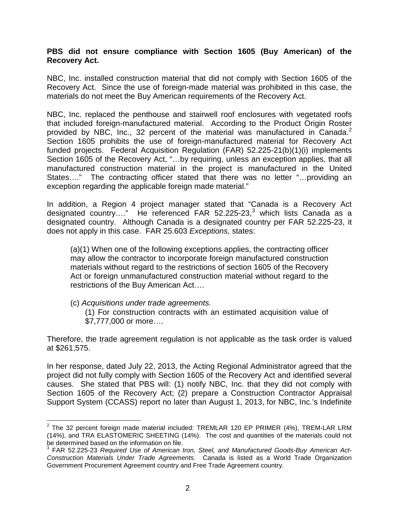## **PBS did not ensure compliance with Section 1605 (Buy American) of the Recovery Act.**

NBC, Inc. installed construction material that did not comply with Section 1605 of the Recovery Act. Since the use of foreign-made material was prohibited in this case, the materials do not meet the Buy American requirements of the Recovery Act.

NBC, Inc. replaced the penthouse and stairwell roof enclosures with vegetated roofs that included foreign-manufactured material. According to the Product Origin Roster provided by NBC, Inc., 3[2](#page-1-0) percent of the material was manufactured in Canada. $2$ Section 1605 prohibits the use of foreign-manufactured material for Recovery Act funded projects. Federal Acquisition Regulation (FAR) 52.225-21(b)(1)(i) implements Section 1605 of the Recovery Act, "...by requiring, unless an exception applies, that all manufactured construction material in the project is manufactured in the United States…." The contracting officer stated that there was no letter "…providing an exception regarding the applicable foreign made material."

In addition, a Region 4 project manager stated that "Canada is a Recovery Act designated country...." He referenced FAR 52.225-2[3](#page-1-1),<sup>3</sup> which lists Canada as a designated country. Although Canada is a designated country per FAR 52.225-23, it does not apply in this case. FAR 25.603 *Exceptions,* states:

(a)(1) When one of the following exceptions applies, the contracting officer may allow the contractor to incorporate foreign manufactured construction materials without regard to the restrictions of section 1605 of the Recovery Act or foreign unmanufactured construction material without regard to the restrictions of the Buy American Act….

(c) *Acquisitions under trade agreements.* (1) For construction contracts with an estimated acquisition value of \$7,777,000 or more….

Therefore, the trade agreement regulation is not applicable as the task order is valued at \$261,575.

In her response, dated July 22, 2013, the Acting Regional Administrator agreed that the project did not fully comply with Section 1605 of the Recovery Act and identified several causes. She stated that PBS will: (1) notify NBC, Inc. that they did not comply with Section 1605 of the Recovery Act; (2) prepare a Construction Contractor Appraisal Support System (CCASS) report no later than August 1, 2013, for NBC, Inc.'s Indefinite

<span id="page-1-0"></span> $2$  The 32 percent foreign made material included: TREMLAR 120 EP PRIMER (4%), TREM-LAR LRM (14%), and TRA ELASTOMERIC SHEETING (14%). The cost and quantities of the materials could not be determined based on the information on file.<br><sup>3</sup> FAR 52.225-23 *Required Use of American Iron, Steel, and Manufactured Goods-Buy American Act-*

<span id="page-1-1"></span>*Construction Materials Under Trade Agreements*. Canada is listed as a World Trade Organization Government Procurement Agreement country and Free Trade Agreement country.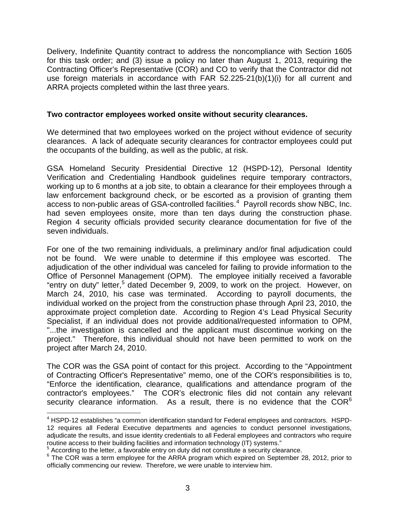Delivery, Indefinite Quantity contract to address the noncompliance with Section 1605 for this task order; and (3) issue a policy no later than August 1, 2013, requiring the Contracting Officer's Representative (COR) and CO to verify that the Contractor did not use foreign materials in accordance with FAR 52.225-21(b)(1)(i) for all current and ARRA projects completed within the last three years.

## **Two contractor employees worked onsite without security clearances.**

We determined that two employees worked on the project without evidence of security clearances. A lack of adequate security clearances for contractor employees could put the occupants of the building, as well as the public, at risk.

GSA Homeland Security Presidential Directive 12 (HSPD-12), Personal Identity Verification and Credentialing Handbook guidelines require temporary contractors, working up to 6 months at a job site, to obtain a clearance for their employees through a law enforcement background check, or be escorted as a provision of granting them access to non-public areas of GSA-controlled facilities.<sup>[4](#page-2-0)</sup> Payroll records show NBC, Inc. had seven employees onsite, more than ten days during the construction phase. Region 4 security officials provided security clearance documentation for five of the seven individuals.

For one of the two remaining individuals, a preliminary and/or final adjudication could not be found. We were unable to determine if this employee was escorted. The adjudication of the other individual was canceled for failing to provide information to the Office of Personnel Management (OPM). The employee initially received a favorable "entry on duty" letter,<sup>[5](#page-2-1)</sup> dated December 9, 2009, to work on the project. However, on March 24, 2010, his case was terminated. According to payroll documents, the individual worked on the project from the construction phase through April 23, 2010, the approximate project completion date. According to Region 4's Lead Physical Security Specialist, if an individual does not provide additional/requested information to OPM, "...the investigation is cancelled and the applicant must discontinue working on the project." Therefore, this individual should not have been permitted to work on the project after March 24, 2010.

The COR was the GSA point of contact for this project. According to the "Appointment of Contracting Officer's Representative" memo, one of the COR's responsibilities is to, "Enforce the identification, clearance, qualifications and attendance program of the contractor's employees." The COR's electronic files did not contain any relevant security clearance information. As a result, there is no evidence that the  $COR<sup>6</sup>$  $COR<sup>6</sup>$  $COR<sup>6</sup>$ 

<span id="page-2-0"></span><sup>4</sup> HSPD-12 establishes "a common identification standard for Federal employees and contractors. HSPD-12 requires all Federal Executive departments and agencies to conduct personnel investigations, adjudicate the results, and issue identity credentials to all Federal employees and contractors who require routine access to their building facilities and information technology (IT) systems."

 $<sup>5</sup>$  According to the letter, a favorable entry on duty did not constitute a security clearance.</sup>

<span id="page-2-2"></span><span id="page-2-1"></span><sup>&</sup>lt;sup>6</sup> The COR was a term employee for the ARRA program which expired on September 28, 2012, prior to officially commencing our review. Therefore, we were unable to interview him.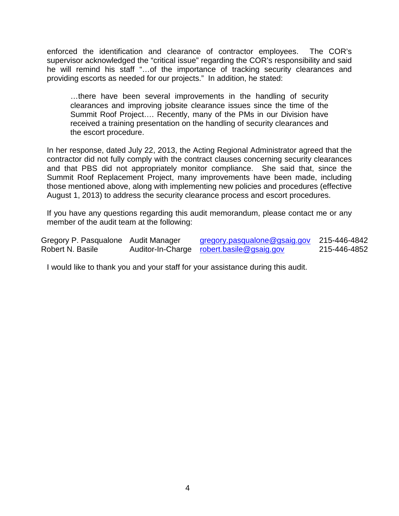enforced the identification and clearance of contractor employees. The COR's supervisor acknowledged the "critical issue" regarding the COR's responsibility and said he will remind his staff "…of the importance of tracking security clearances and providing escorts as needed for our projects." In addition, he stated:

…there have been several improvements in the handling of security clearances and improving jobsite clearance issues since the time of the Summit Roof Project…. Recently, many of the PMs in our Division have received a training presentation on the handling of security clearances and the escort procedure.

In her response, dated July 22, 2013, the Acting Regional Administrator agreed that the contractor did not fully comply with the contract clauses concerning security clearances and that PBS did not appropriately monitor compliance. She said that, since the Summit Roof Replacement Project, many improvements have been made, including those mentioned above, along with implementing new policies and procedures (effective August 1, 2013) to address the security clearance process and escort procedures.

If you have any questions regarding this audit memorandum, please contact me or any member of the audit team at the following:

| Gregory P. Pasqualone Audit Manager | gregory.pasqualone@gsaig.gov              | 215-446-4842 |
|-------------------------------------|-------------------------------------------|--------------|
| Robert N. Basile                    | Auditor-In-Charge robert.basile@gsaig.gov | 215-446-4852 |

I would like to thank you and your staff for your assistance during this audit.